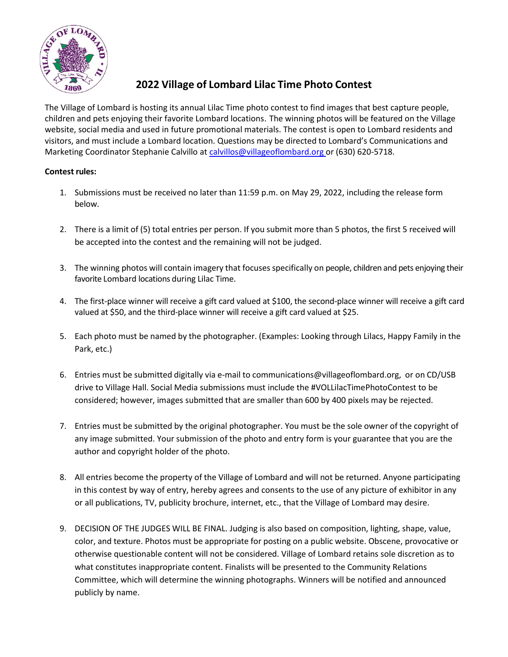

## **2022 Village of Lombard Lilac Time Photo Contest**

The Village of Lombard is hosting its annual Lilac Time photo contest to find images that best capture people, children and pets enjoying their favorite Lombard locations. The winning photos will be featured on the Village website, social media and used in future promotional materials. The contest is open to Lombard residents and visitors, and must include a Lombard location. Questions may be directed to Lombard's Communications and Marketing Coordinator Stephanie Calvillo at [calvillos@villageoflombard.org o](mailto:calvillos@villageoflombard.org)r (630) 620-5718.

## **Contest rules:**

- 1. Submissions must be received no later than 11:59 p.m. on May 29, 2022, including the release form below.
- 2. There is a limit of (5) total entries per person. If you submit more than 5 photos, the first 5 received will be accepted into the contest and the remaining will not be judged.
- 3. The winning photos will contain imagery that focuses specifically on people, children and pets enjoying their favorite Lombard locations during Lilac Time.
- 4. The first-place winner will receive a gift card valued at \$100, the second-place winner will receive a gift card valued at \$50, and the third-place winner will receive a gift card valued at \$25.
- 5. Each photo must be named by the photographer. (Examples: Looking through Lilacs, Happy Family in the Park, etc.)
- 6. Entries must be submitted digitally via e-mail to [communications@villageoflombard.org,](mailto:communications@villageoflombard.org) or on CD/USB drive to Village Hall. Social Media submissions must include the #VOLLilacTimePhotoContest to be considered; however, images submitted that are smaller than 600 by 400 pixels may be rejected.
- 7. Entries must be submitted by the original photographer. You must be the sole owner of the copyright of any image submitted. Your submission of the photo and entry form is your guarantee that you are the author and copyright holder of the photo.
- 8. All entries become the property of the Village of Lombard and will not be returned. Anyone participating in this contest by way of entry, hereby agrees and consents to the use of any picture of exhibitor in any or all publications, TV, publicity brochure, internet, etc., that the Village of Lombard may desire.
- 9. DECISION OF THE JUDGES WILL BE FINAL. Judging is also based on composition, lighting, shape, value, color, and texture. Photos must be appropriate for posting on a public website. Obscene, provocative or otherwise questionable content will not be considered. Village of Lombard retains sole discretion as to what constitutes inappropriate content. Finalists will be presented to the Community Relations Committee, which will determine the winning photographs. Winners will be notified and announced publicly by name.